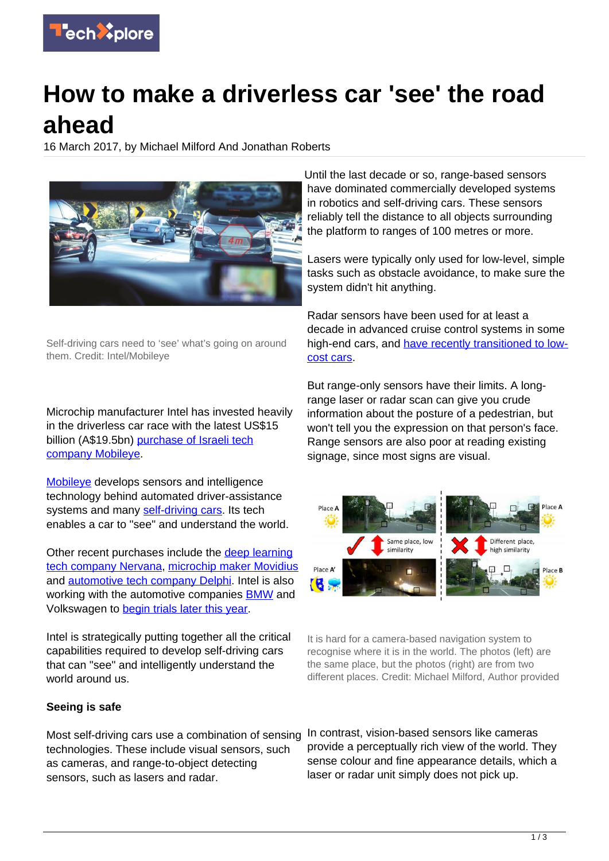

# **How to make a driverless car 'see' the road ahead**

16 March 2017, by Michael Milford And Jonathan Roberts



Self-driving cars need to 'see' what's going on around them. Credit: Intel/Mobileye

Microchip manufacturer Intel has invested heavily in the driverless car race with the latest US\$15 billion (A\$19.5bn) [purchase of Israeli tech](http://www.afr.com/opinion/intel-driven-to-overpay-for-mobileye-20170314-guxse0) [company Mobileye](http://www.afr.com/opinion/intel-driven-to-overpay-for-mobileye-20170314-guxse0).

[Mobileye](http://www.mobileye.com/) develops sensors and intelligence technology behind automated driver-assistance systems and many [self-driving cars](https://techxplore.com/tags/self-driving+cars/). Its tech enables a car to "see" and understand the world.

Other recent purchases include the [deep learning](http://www.recode.net/2016/8/9/12413600/intel-buys-nervana%E2%80%94350-million) [tech company Nervana](http://www.recode.net/2016/8/9/12413600/intel-buys-nervana%E2%80%94350-million), [microchip maker Movidius](https://techcrunch.com/2016/09/05/intel-buys-computer-vision-startup-movidius-as-it-looks-to-build-up-its-realsense-platform/) and [automotive tech company Delphi](https://techcrunch.com/2016/11/29/intel-joins-mobileye-and-delphi-on-self-driving-car-system/). Intel is also working with the automotive companies **BMW** and Volkswagen to [begin trials later this year](https://www.technologyreview.com/s/603850/intels-15-billion-mobileye-buyout-puts-it-in-the-autonomous-car-drivers-seat/).

Intel is strategically putting together all the critical capabilities required to develop self-driving cars that can "see" and intelligently understand the world around us.

#### **Seeing is safe**

Most self-driving cars use a combination of sensing technologies. These include visual sensors, such as cameras, and range-to-object detecting sensors, such as lasers and radar.

Until the last decade or so, range-based sensors have dominated commercially developed systems in robotics and self-driving cars. These sensors reliably tell the distance to all objects surrounding the platform to ranges of 100 metres or more.

Lasers were typically only used for low-level, simple tasks such as obstacle avoidance, to make sure the system didn't hit anything.

Radar sensors have been used for at least a decade in advanced cruise control systems in some high-end cars, and [have recently transitioned to low](https://www.extremetech.com/extreme/245417-will-tech-quieter-cockpit-put-2017-mazda-cx-5-par-audi-bmw)[cost cars](https://www.extremetech.com/extreme/245417-will-tech-quieter-cockpit-put-2017-mazda-cx-5-par-audi-bmw).

But range-only sensors have their limits. A longrange laser or radar scan can give you crude information about the posture of a pedestrian, but won't tell you the expression on that person's face. Range sensors are also poor at reading existing signage, since most signs are visual.



It is hard for a camera-based navigation system to recognise where it is in the world. The photos (left) are the same place, but the photos (right) are from two different places. Credit: Michael Milford, Author provided

In contrast, vision-based sensors like cameras provide a perceptually rich view of the world. They sense colour and fine appearance details, which a laser or radar unit simply does not pick up.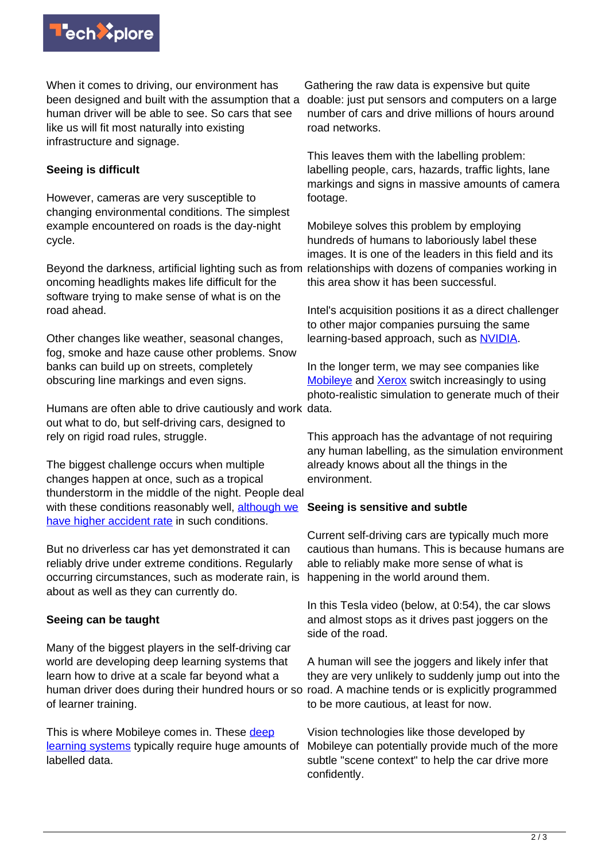

When it comes to driving, our environment has been designed and built with the assumption that a human driver will be able to see. So cars that see like us will fit most naturally into existing infrastructure and signage.

## **Seeing is difficult**

However, cameras are very susceptible to changing environmental conditions. The simplest example encountered on roads is the day-night cycle.

Beyond the darkness, artificial lighting such as from oncoming headlights makes life difficult for the software trying to make sense of what is on the road ahead.

Other changes like weather, seasonal changes, fog, smoke and haze cause other problems. Snow banks can build up on streets, completely obscuring line markings and even signs.

Humans are often able to drive cautiously and work data. out what to do, but self-driving cars, designed to rely on rigid road rules, struggle.

The biggest challenge occurs when multiple changes happen at once, such as a tropical thunderstorm in the middle of the night. People deal with these conditions reasonably well, [although we](http://www.usatoday.com/story/weather/2015/05/14/deadly-driving-hazards/27300165/) [have higher accident rate](http://www.usatoday.com/story/weather/2015/05/14/deadly-driving-hazards/27300165/) in such conditions.

But no driverless car has yet demonstrated it can reliably drive under extreme conditions. Regularly occurring circumstances, such as moderate rain, is about as well as they can currently do.

#### **Seeing can be taught**

Many of the biggest players in the self-driving car world are developing deep learning systems that learn how to drive at a scale far beyond what a human driver does during their hundred hours or so of learner training.

This is where Mobileye comes in. These [deep](http://spectrum.ieee.org/automaton/robotics/artificial-intelligence/facebook-ai-director-yann-lecun-on-deep-learning) [learning systems](http://spectrum.ieee.org/automaton/robotics/artificial-intelligence/facebook-ai-director-yann-lecun-on-deep-learning) typically require huge amounts of labelled data.

Gathering the raw data is expensive but quite doable: just put sensors and computers on a large number of cars and drive millions of hours around road networks.

This leaves them with the labelling problem: labelling people, cars, hazards, traffic lights, lane markings and signs in massive amounts of camera footage.

Mobileye solves this problem by employing hundreds of humans to laboriously label these images. It is one of the leaders in this field and its relationships with dozens of companies working in this area show it has been successful.

Intel's acquisition positions it as a direct challenger to other major companies pursuing the same learning-based approach, such as [NVIDIA.](https://blogs.nvidia.com/blog/2017/01/04/bb8-ces/)

In the longer term, we may see companies like [Mobileye](https://www.technologyreview.com/s/602531/an-ambitious-plan-to-build-a-self-driving-borg/) and [Xerox](http://www.xrce.xerox.com/Our-Research/Computer-Vision/Proxy-Virtual-Worlds) switch increasingly to using photo-realistic simulation to generate much of their

This approach has the advantage of not requiring any human labelling, as the simulation environment already knows about all the things in the environment.

#### **Seeing is sensitive and subtle**

Current self-driving cars are typically much more cautious than humans. This is because humans are able to reliably make more sense of what is happening in the world around them.

In this Tesla video (below, at 0:54), the car slows and almost stops as it drives past joggers on the side of the road.

A human will see the joggers and likely infer that they are very unlikely to suddenly jump out into the road. A machine tends or is explicitly programmed to be more cautious, at least for now.

Vision technologies like those developed by Mobileye can potentially provide much of the more subtle "scene context" to help the car drive more confidently.